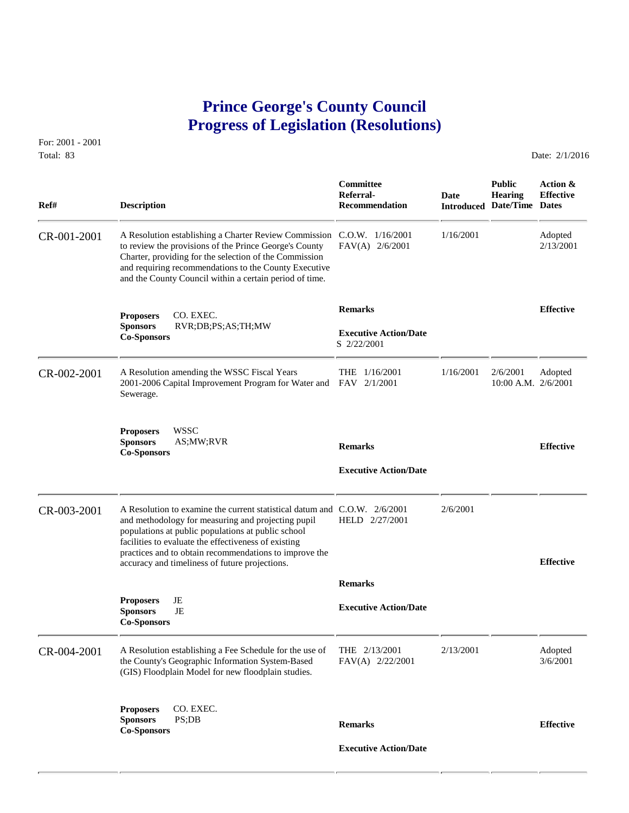## **Prince George's County Council Progress of Legislation (Resolutions)**

For: 2001 - 2001 Total: 83 Date: 2/1/2016

 **Committee Public Action & Referral- Date Hearing Effective Ref# Description Recommendation Introduced Date/Time Dates** CR-001-2001 A Resolution establishing a Charter Review Commission C.O.W. 1/16/2001 1/16/2001 1/16/2001 1/16/2001 to review the provisions of the Prince George's County FAV(A) 2/6/2001 2/13/2001 to review the provisions of the Prince George's County Charter, providing for the selection of the Commission and requiring recommendations to the County Executive and the County Council within a certain period of time. **Remarks Effective Exercise 2 Effective Effective Sponsors RVR;DB;PS;AS;TH;MW Executive Action/Date Co-Sponsors Co-Sponsors Co-Sponsors Co-Sponsors Co-Sponsors Co-Sponsors Co-Sponsors Co-Sponsors Co-Sponsors Co-Sponsors Co-Sponsors Co-Sponsors C** CR-002-2001 A Resolution amending the WSSC Fiscal Years THE  $1/16/2001$   $1/16/2001$   $2/6/2001$  Adopted<br>2001-2006 Capital Improvement Program for Water and FAV 2/1/2001 10:00 A.M. 2/6/2001 2001-2006 Capital Improvement Program for Water and FAV 2/1/2001 Sewerage. **Proposers** WSSC **Sponsors** AS;MW;RVR **Remarks Effective Co-Sponsors Executive Action/Date** CR-003-2001 A Resolution to examine the current statistical datum and C.O.W. 2/6/2001 2/6/2001<br>and methodology for measuring and projecting pupil HELD 2/27/2001 and methodology for measuring and projecting pupil populations at public populations at public school facilities to evaluate the effectiveness of existing practices and to obtain recommendations to improve the accuracy and timeliness of future projections. **Effective Remarks Proposers** JE **Executive Action/Date**<br> **Executive Action/Date Co-Sponsors**  CR-004-2001 A Resolution establishing a Fee Schedule for the use of THE 2/13/2001 2/13/2001 Adopted<br>the County's Geographic Information System-Based FAV(A) 2/22/2001 2/13/2001 3/6/2001 the County's Geographic Information System-Based (GIS) Floodplain Model for new floodplain studies. **Proposers** CO. EXEC. **Sponsors** PS;DB **Remarks Effective Co-Sponsors Executive Action/Date**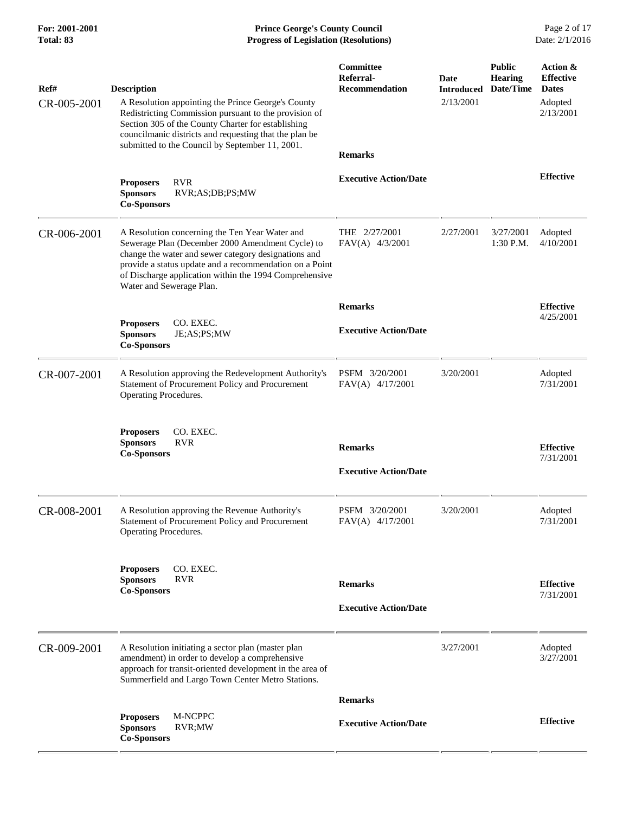**For: 2001-2001 Prince George's County Council** Page 2 of 17<br> **Prince George's County Council** Page 2 of 17<br> **Progress of Legislation (Resolutions)** Date: 2/1/2016 **Progress of Legislation (Resolutions) Progress of Legislation (Resolutions)** 

| Ref#        | <b>Description</b>                                                                                                                                                                                                                                                                                          | Committee<br>Referral-<br><b>Recommendation</b> | Date<br><b>Introduced</b> | <b>Public</b><br><b>Hearing</b><br>Date/Time | Action &<br><b>Effective</b><br><b>Dates</b> |
|-------------|-------------------------------------------------------------------------------------------------------------------------------------------------------------------------------------------------------------------------------------------------------------------------------------------------------------|-------------------------------------------------|---------------------------|----------------------------------------------|----------------------------------------------|
| CR-005-2001 | A Resolution appointing the Prince George's County<br>Redistricting Commission pursuant to the provision of<br>Section 305 of the County Charter for establishing<br>councilmanic districts and requesting that the plan be<br>submitted to the Council by September 11, 2001.                              |                                                 | 2/13/2001                 |                                              | Adopted<br>2/13/2001                         |
|             |                                                                                                                                                                                                                                                                                                             | <b>Remarks</b>                                  |                           |                                              |                                              |
|             | <b>RVR</b><br><b>Proposers</b><br>RVR;AS;DB;PS;MW<br><b>Sponsors</b><br><b>Co-Sponsors</b>                                                                                                                                                                                                                  | <b>Executive Action/Date</b>                    |                           |                                              | <b>Effective</b>                             |
| CR-006-2001 | A Resolution concerning the Ten Year Water and<br>Sewerage Plan (December 2000 Amendment Cycle) to<br>change the water and sewer category designations and<br>provide a status update and a recommendation on a Point<br>of Discharge application within the 1994 Comprehensive<br>Water and Sewerage Plan. | THE 2/27/2001<br>$FAV(A)$ 4/3/2001              | 2/27/2001                 | 3/27/2001<br>1:30 P.M.                       | Adopted<br>4/10/2001                         |
|             |                                                                                                                                                                                                                                                                                                             | <b>Remarks</b>                                  |                           |                                              | <b>Effective</b>                             |
|             | <b>Proposers</b><br>CO. EXEC.<br><b>Sponsors</b><br>JE;AS;PS;MW<br><b>Co-Sponsors</b>                                                                                                                                                                                                                       | <b>Executive Action/Date</b>                    |                           |                                              | 4/25/2001                                    |
| CR-007-2001 | A Resolution approving the Redevelopment Authority's<br>Statement of Procurement Policy and Procurement<br>Operating Procedures.                                                                                                                                                                            | PSFM 3/20/2001<br>$FAV(A)$ 4/17/2001            | 3/20/2001                 |                                              | Adopted<br>7/31/2001                         |
|             | <b>Proposers</b><br>CO. EXEC.<br><b>RVR</b><br><b>Sponsors</b>                                                                                                                                                                                                                                              | <b>Remarks</b>                                  |                           |                                              | <b>Effective</b>                             |
|             | <b>Co-Sponsors</b>                                                                                                                                                                                                                                                                                          | <b>Executive Action/Date</b>                    |                           |                                              | 7/31/2001                                    |
| CR-008-2001 | A Resolution approving the Revenue Authority's<br>Statement of Procurement Policy and Procurement<br>Operating Procedures.                                                                                                                                                                                  | PSFM 3/20/2001<br>$FAV(A)$ 4/17/2001            | 3/20/2001                 |                                              | Adopted<br>7/31/2001                         |
|             | CO. EXEC.<br><b>Proposers</b>                                                                                                                                                                                                                                                                               |                                                 |                           |                                              |                                              |
|             | <b>Sponsors</b><br><b>RVR</b><br><b>Co-Sponsors</b>                                                                                                                                                                                                                                                         | <b>Remarks</b>                                  |                           |                                              | <b>Effective</b>                             |
|             |                                                                                                                                                                                                                                                                                                             | <b>Executive Action/Date</b>                    |                           |                                              | 7/31/2001                                    |
|             |                                                                                                                                                                                                                                                                                                             |                                                 |                           |                                              |                                              |
| CR-009-2001 | A Resolution initiating a sector plan (master plan<br>amendment) in order to develop a comprehensive<br>approach for transit-oriented development in the area of<br>Summerfield and Largo Town Center Metro Stations.                                                                                       |                                                 | 3/27/2001                 |                                              | Adopted<br>3/27/2001                         |
|             |                                                                                                                                                                                                                                                                                                             | <b>Remarks</b>                                  |                           |                                              |                                              |
|             | M-NCPPC<br><b>Proposers</b><br><b>Sponsors</b><br>RVR;MW<br><b>Co-Sponsors</b>                                                                                                                                                                                                                              | <b>Executive Action/Date</b>                    |                           |                                              | <b>Effective</b>                             |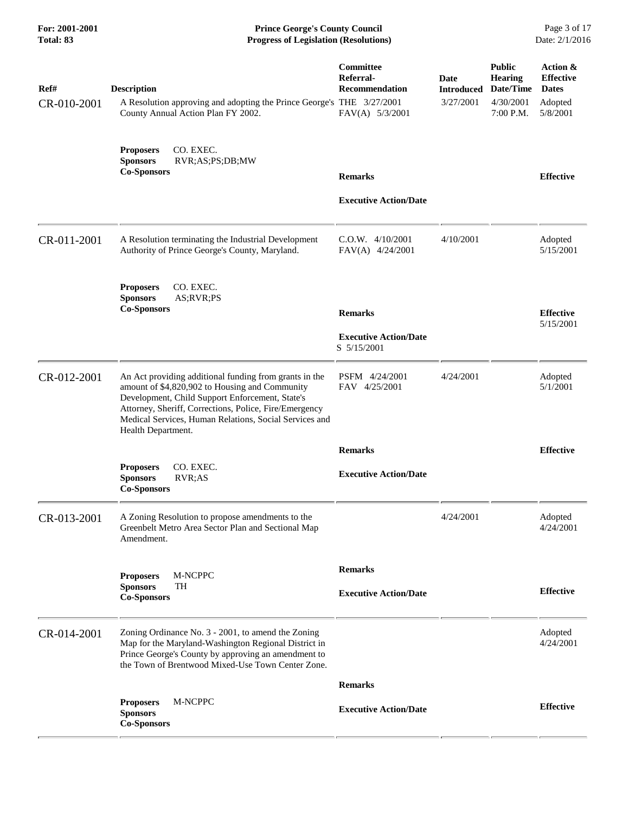| <b>For: 2001-2001</b><br><b>Total: 83</b> | <b>Prince George's County Council</b><br>Date: 2/1/2016<br><b>Progress of Legislation (Resolutions)</b>                                                                                                                                                                                               |                                                                    |                                        |                                                                        |                                                                     |
|-------------------------------------------|-------------------------------------------------------------------------------------------------------------------------------------------------------------------------------------------------------------------------------------------------------------------------------------------------------|--------------------------------------------------------------------|----------------------------------------|------------------------------------------------------------------------|---------------------------------------------------------------------|
| Ref#<br>CR-010-2001                       | <b>Description</b><br>A Resolution approving and adopting the Prince George's THE 3/27/2001<br>County Annual Action Plan FY 2002.                                                                                                                                                                     | Committee<br>Referral-<br><b>Recommendation</b><br>FAV(A) 5/3/2001 | Date<br><b>Introduced</b><br>3/27/2001 | <b>Public</b><br><b>Hearing</b><br>Date/Time<br>4/30/2001<br>7:00 P.M. | Action &<br><b>Effective</b><br><b>Dates</b><br>Adopted<br>5/8/2001 |
|                                           | CO. EXEC.<br><b>Proposers</b><br><b>Sponsors</b><br>RVR;AS;PS;DB;MW<br><b>Co-Sponsors</b>                                                                                                                                                                                                             | <b>Remarks</b>                                                     |                                        |                                                                        | <b>Effective</b>                                                    |
|                                           |                                                                                                                                                                                                                                                                                                       | <b>Executive Action/Date</b>                                       |                                        |                                                                        |                                                                     |
| CR-011-2001                               | A Resolution terminating the Industrial Development<br>Authority of Prince George's County, Maryland.                                                                                                                                                                                                 | $C.O.W.$ 4/10/2001<br>$FAV(A)$ 4/24/2001                           | 4/10/2001                              |                                                                        | Adopted<br>5/15/2001                                                |
|                                           | <b>Proposers</b><br>CO. EXEC.<br><b>Sponsors</b><br>AS;RVR;PS<br><b>Co-Sponsors</b>                                                                                                                                                                                                                   |                                                                    |                                        |                                                                        |                                                                     |
|                                           |                                                                                                                                                                                                                                                                                                       | <b>Remarks</b>                                                     |                                        |                                                                        | <b>Effective</b><br>5/15/2001                                       |
|                                           |                                                                                                                                                                                                                                                                                                       | <b>Executive Action/Date</b><br>S 5/15/2001                        |                                        |                                                                        |                                                                     |
| CR-012-2001                               | An Act providing additional funding from grants in the<br>amount of \$4,820,902 to Housing and Community<br>Development, Child Support Enforcement, State's<br>Attorney, Sheriff, Corrections, Police, Fire/Emergency<br>Medical Services, Human Relations, Social Services and<br>Health Department. | PSFM 4/24/2001<br>FAV 4/25/2001                                    | 4/24/2001                              |                                                                        | Adopted<br>5/1/2001                                                 |
|                                           |                                                                                                                                                                                                                                                                                                       | <b>Remarks</b>                                                     |                                        |                                                                        | <b>Effective</b>                                                    |
|                                           | CO. EXEC.<br><b>Proposers</b><br>RVR;AS<br><b>Sponsors</b><br><b>Co-Sponsors</b>                                                                                                                                                                                                                      | <b>Executive Action/Date</b>                                       |                                        |                                                                        |                                                                     |
| CR-013-2001                               | A Zoning Resolution to propose amendments to the<br>Greenbelt Metro Area Sector Plan and Sectional Map<br>Amendment.                                                                                                                                                                                  |                                                                    | 4/24/2001                              |                                                                        | Adopted<br>4/24/2001                                                |
|                                           | M-NCPPC<br><b>Proposers</b>                                                                                                                                                                                                                                                                           | <b>Remarks</b>                                                     |                                        |                                                                        |                                                                     |
|                                           | <b>Sponsors</b><br>TH<br><b>Co-Sponsors</b>                                                                                                                                                                                                                                                           | <b>Executive Action/Date</b>                                       |                                        |                                                                        | <b>Effective</b>                                                    |
| CR-014-2001                               | Zoning Ordinance No. 3 - 2001, to amend the Zoning<br>Map for the Maryland-Washington Regional District in<br>Prince George's County by approving an amendment to<br>the Town of Brentwood Mixed-Use Town Center Zone.                                                                                |                                                                    |                                        |                                                                        | Adopted<br>4/24/2001                                                |
|                                           |                                                                                                                                                                                                                                                                                                       | <b>Remarks</b>                                                     |                                        |                                                                        |                                                                     |
|                                           | M-NCPPC<br><b>Proposers</b><br><b>Sponsors</b><br><b>Co-Sponsors</b>                                                                                                                                                                                                                                  | <b>Executive Action/Date</b>                                       |                                        |                                                                        | <b>Effective</b>                                                    |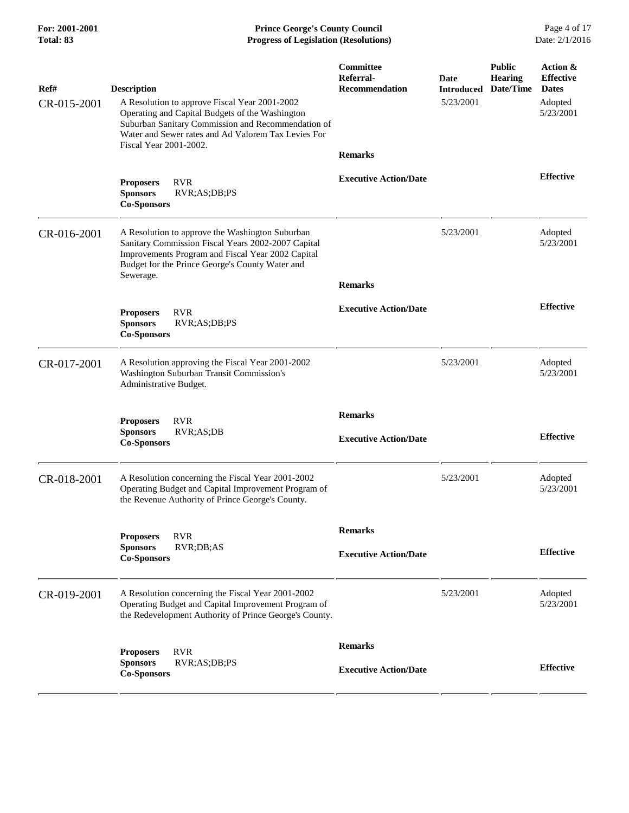**For: 2001-2001 Prince George's County Council** Page 4 of 17<br> **Prince George's County Council** Page 4 of 17<br> **Progress of Legislation (Resolutions)** Date: 2/1/2016 **Progress of Legislation (Resolutions) Progress of Legislation (Resolutions)** 

| Ref#        | <b>Description</b>                                                                                                                                                                                                         | Committee<br>Referral-<br><b>Recommendation</b> | Date<br><b>Introduced</b> | <b>Public</b><br><b>Hearing</b><br>Date/Time | Action &<br><b>Effective</b><br><b>Dates</b> |
|-------------|----------------------------------------------------------------------------------------------------------------------------------------------------------------------------------------------------------------------------|-------------------------------------------------|---------------------------|----------------------------------------------|----------------------------------------------|
| CR-015-2001 | A Resolution to approve Fiscal Year 2001-2002<br>Operating and Capital Budgets of the Washington<br>Suburban Sanitary Commission and Recommendation of<br>Water and Sewer rates and Ad Valorem Tax Levies For              |                                                 | 5/23/2001                 |                                              | Adopted<br>5/23/2001                         |
|             | Fiscal Year 2001-2002.                                                                                                                                                                                                     | <b>Remarks</b>                                  |                           |                                              |                                              |
|             | <b>RVR</b><br><b>Proposers</b><br><b>Sponsors</b><br>RVR;AS;DB;PS<br><b>Co-Sponsors</b>                                                                                                                                    | <b>Executive Action/Date</b>                    |                           |                                              | <b>Effective</b>                             |
| CR-016-2001 | A Resolution to approve the Washington Suburban<br>Sanitary Commission Fiscal Years 2002-2007 Capital<br>Improvements Program and Fiscal Year 2002 Capital<br>Budget for the Prince George's County Water and<br>Sewerage. |                                                 | 5/23/2001                 |                                              | Adopted<br>5/23/2001                         |
|             |                                                                                                                                                                                                                            | <b>Remarks</b>                                  |                           |                                              |                                              |
|             | <b>Proposers</b><br><b>RVR</b><br><b>Sponsors</b><br>RVR;AS;DB;PS<br><b>Co-Sponsors</b>                                                                                                                                    | <b>Executive Action/Date</b>                    |                           |                                              | <b>Effective</b>                             |
| CR-017-2001 | A Resolution approving the Fiscal Year 2001-2002<br>Washington Suburban Transit Commission's<br>Administrative Budget.                                                                                                     |                                                 | 5/23/2001                 |                                              | Adopted<br>5/23/2001                         |
|             | <b>RVR</b><br><b>Proposers</b>                                                                                                                                                                                             | <b>Remarks</b>                                  |                           |                                              |                                              |
|             | <b>Sponsors</b><br>RVR;AS;DB<br><b>Co-Sponsors</b>                                                                                                                                                                         | <b>Executive Action/Date</b>                    |                           |                                              | <b>Effective</b>                             |
| CR-018-2001 | A Resolution concerning the Fiscal Year 2001-2002<br>Operating Budget and Capital Improvement Program of<br>the Revenue Authority of Prince George's County.                                                               |                                                 | 5/23/2001                 |                                              | Adopted<br>5/23/2001                         |
|             | <b>Proposers</b><br><b>RVR</b>                                                                                                                                                                                             | <b>Remarks</b>                                  |                           |                                              |                                              |
|             | RVR;DB;AS<br><b>Sponsors</b><br><b>Co-Sponsors</b>                                                                                                                                                                         | <b>Executive Action/Date</b>                    |                           |                                              | <b>Effective</b>                             |
| CR-019-2001 | A Resolution concerning the Fiscal Year 2001-2002<br>Operating Budget and Capital Improvement Program of<br>the Redevelopment Authority of Prince George's County.                                                         |                                                 | 5/23/2001                 |                                              | Adopted<br>5/23/2001                         |
|             | <b>RVR</b><br><b>Proposers</b>                                                                                                                                                                                             | <b>Remarks</b>                                  |                           |                                              |                                              |
|             | <b>Sponsors</b><br>RVR;AS;DB;PS<br><b>Co-Sponsors</b>                                                                                                                                                                      | <b>Executive Action/Date</b>                    |                           |                                              | <b>Effective</b>                             |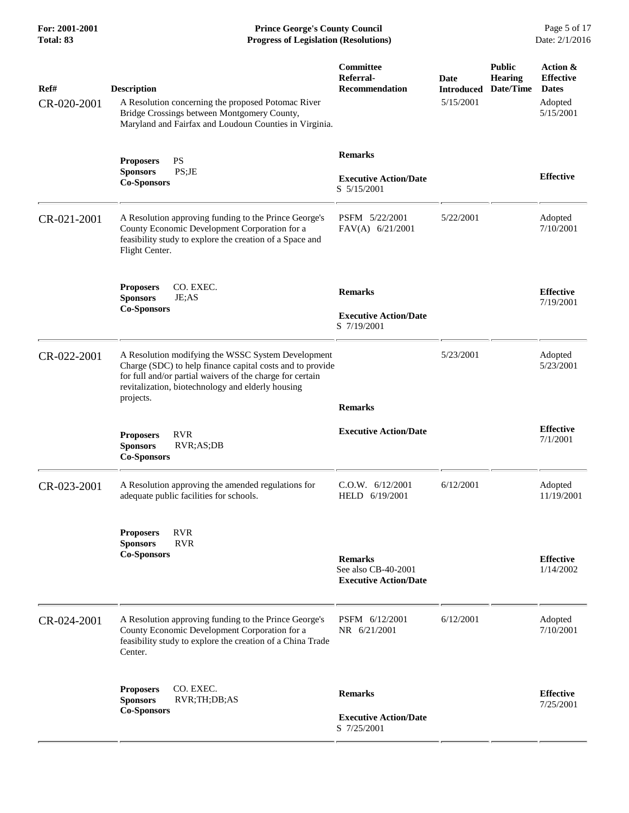**For: 2001-2001 Prince George's County Council** Page 5 of 17<br> **Prince George's County Council** Page 5 of 17<br> **Progress of Legislation (Resolutions)** Date: 2/1/2016 **Progress of Legislation (Resolutions) Progress of Legislation (Resolutions)** 

| Ref#<br>CR-020-2001 | <b>Description</b><br>A Resolution concerning the proposed Potomac River<br>Bridge Crossings between Montgomery County,<br>Maryland and Fairfax and Loudoun Counties in Virginia.                                                              | Committee<br>Referral-<br>Recommendation                              | Date<br><b>Introduced</b><br>5/15/2001 | <b>Public</b><br><b>Hearing</b><br>Date/Time | Action &<br><b>Effective</b><br><b>Dates</b><br>Adopted<br>5/15/2001 |
|---------------------|------------------------------------------------------------------------------------------------------------------------------------------------------------------------------------------------------------------------------------------------|-----------------------------------------------------------------------|----------------------------------------|----------------------------------------------|----------------------------------------------------------------------|
|                     | PS<br><b>Proposers</b><br>PS;JE<br><b>Sponsors</b><br><b>Co-Sponsors</b>                                                                                                                                                                       | <b>Remarks</b><br><b>Executive Action/Date</b><br>S 5/15/2001         |                                        |                                              | <b>Effective</b>                                                     |
| CR-021-2001         | A Resolution approving funding to the Prince George's<br>County Economic Development Corporation for a<br>feasibility study to explore the creation of a Space and<br>Flight Center.                                                           | PSFM 5/22/2001<br>FAV(A) 6/21/2001                                    | 5/22/2001                              |                                              | Adopted<br>7/10/2001                                                 |
|                     | <b>Proposers</b><br>CO. EXEC.<br><b>Sponsors</b><br>JE;AS<br><b>Co-Sponsors</b>                                                                                                                                                                | <b>Remarks</b><br><b>Executive Action/Date</b><br>S 7/19/2001         |                                        |                                              | <b>Effective</b><br>7/19/2001                                        |
| CR-022-2001         | A Resolution modifying the WSSC System Development<br>Charge (SDC) to help finance capital costs and to provide<br>for full and/or partial waivers of the charge for certain<br>revitalization, biotechnology and elderly housing<br>projects. | <b>Remarks</b>                                                        | 5/23/2001                              |                                              | Adopted<br>5/23/2001                                                 |
|                     | <b>Proposers</b><br><b>RVR</b><br><b>Sponsors</b><br>RVR;AS;DB<br><b>Co-Sponsors</b>                                                                                                                                                           | <b>Executive Action/Date</b>                                          |                                        |                                              | <b>Effective</b><br>7/1/2001                                         |
| CR-023-2001         | A Resolution approving the amended regulations for<br>adequate public facilities for schools.                                                                                                                                                  | C.0.W. 6/12/2001<br>HELD 6/19/2001                                    | 6/12/2001                              |                                              | Adopted<br>11/19/2001                                                |
|                     | <b>RVR</b><br><b>Proposers</b><br><b>RVR</b><br><b>Sponsors</b><br><b>Co-Sponsors</b>                                                                                                                                                          | <b>Remarks</b><br>See also CB-40-2001<br><b>Executive Action/Date</b> |                                        |                                              | <b>Effective</b><br>1/14/2002                                        |
| CR-024-2001         | A Resolution approving funding to the Prince George's<br>County Economic Development Corporation for a<br>feasibility study to explore the creation of a China Trade<br>Center.                                                                | PSFM 6/12/2001<br>NR 6/21/2001                                        | 6/12/2001                              |                                              | Adopted<br>7/10/2001                                                 |
|                     | CO. EXEC.<br><b>Proposers</b><br><b>Sponsors</b><br>RVR;TH;DB;AS                                                                                                                                                                               | <b>Remarks</b>                                                        |                                        |                                              | <b>Effective</b><br>7/25/2001                                        |
|                     | <b>Co-Sponsors</b>                                                                                                                                                                                                                             | <b>Executive Action/Date</b><br>S 7/25/2001                           |                                        |                                              |                                                                      |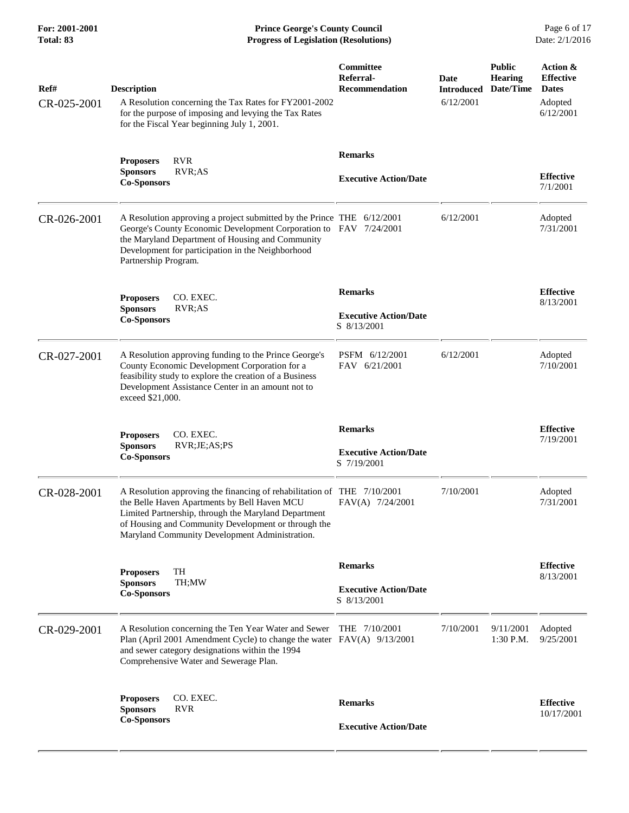**For: 2001-2001 Prince George's County Council** Page 6 of 17<br> **Prince George's County Council** Page 6 of 17<br> **Progress of Legislation (Resolutions)** Date: 2/1/2016 **Progress of Legislation (Resolutions)** 

| Ref#<br>CR-025-2001 | <b>Description</b><br>A Resolution concerning the Tax Rates for FY2001-2002<br>for the purpose of imposing and levying the Tax Rates<br>for the Fiscal Year beginning July 1, 2001.                                                                                                      | Committee<br>Referral-<br>Recommendation                      | Date<br><b>Introduced</b><br>6/12/2001 | <b>Public</b><br><b>Hearing</b><br>Date/Time | Action &<br><b>Effective</b><br><b>Dates</b><br>Adopted<br>6/12/2001 |
|---------------------|------------------------------------------------------------------------------------------------------------------------------------------------------------------------------------------------------------------------------------------------------------------------------------------|---------------------------------------------------------------|----------------------------------------|----------------------------------------------|----------------------------------------------------------------------|
|                     | <b>Proposers</b><br><b>RVR</b><br>RVR;AS<br><b>Sponsors</b><br><b>Co-Sponsors</b>                                                                                                                                                                                                        | <b>Remarks</b><br><b>Executive Action/Date</b>                |                                        |                                              | <b>Effective</b><br>7/1/2001                                         |
| CR-026-2001         | A Resolution approving a project submitted by the Prince THE 6/12/2001<br>George's County Economic Development Corporation to FAV 7/24/2001<br>the Maryland Department of Housing and Community<br>Development for participation in the Neighborhood<br>Partnership Program.             |                                                               | 6/12/2001                              |                                              | Adopted<br>7/31/2001                                                 |
|                     | CO. EXEC.<br><b>Proposers</b><br><b>Sponsors</b><br>RVR;AS<br><b>Co-Sponsors</b>                                                                                                                                                                                                         | <b>Remarks</b><br><b>Executive Action/Date</b><br>S 8/13/2001 |                                        |                                              | <b>Effective</b><br>8/13/2001                                        |
| CR-027-2001         | A Resolution approving funding to the Prince George's<br>County Economic Development Corporation for a<br>feasibility study to explore the creation of a Business<br>Development Assistance Center in an amount not to<br>exceed \$21,000.                                               | PSFM 6/12/2001<br>FAV 6/21/2001                               | 6/12/2001                              |                                              | Adopted<br>7/10/2001                                                 |
|                     | CO. EXEC.<br><b>Proposers</b><br><b>Sponsors</b><br>RVR;JE;AS;PS<br><b>Co-Sponsors</b>                                                                                                                                                                                                   | <b>Remarks</b><br><b>Executive Action/Date</b><br>S 7/19/2001 |                                        |                                              | <b>Effective</b><br>7/19/2001                                        |
| CR-028-2001         | A Resolution approving the financing of rehabilitation of THE 7/10/2001<br>the Belle Haven Apartments by Bell Haven MCU<br>Limited Partnership, through the Maryland Department<br>of Housing and Community Development or through the<br>Maryland Community Development Administration. | FAV(A) 7/24/2001                                              | 7/10/2001                              |                                              | Adopted<br>7/31/2001                                                 |
|                     | TH<br><b>Proposers</b><br><b>Sponsors</b><br>TH:MW<br><b>Co-Sponsors</b>                                                                                                                                                                                                                 | <b>Remarks</b><br><b>Executive Action/Date</b><br>S 8/13/2001 |                                        |                                              | <b>Effective</b><br>8/13/2001                                        |
| CR-029-2001         | A Resolution concerning the Ten Year Water and Sewer<br>Plan (April 2001 Amendment Cycle) to change the water FAV(A) 9/13/2001<br>and sewer category designations within the 1994<br>Comprehensive Water and Sewerage Plan.                                                              | THE 7/10/2001                                                 | 7/10/2001                              | 9/11/2001<br>$1:30$ P.M.                     | Adopted<br>9/25/2001                                                 |
|                     | CO. EXEC.<br><b>Proposers</b><br><b>Sponsors</b><br><b>RVR</b><br><b>Co-Sponsors</b>                                                                                                                                                                                                     | <b>Remarks</b><br><b>Executive Action/Date</b>                |                                        |                                              | <b>Effective</b><br>10/17/2001                                       |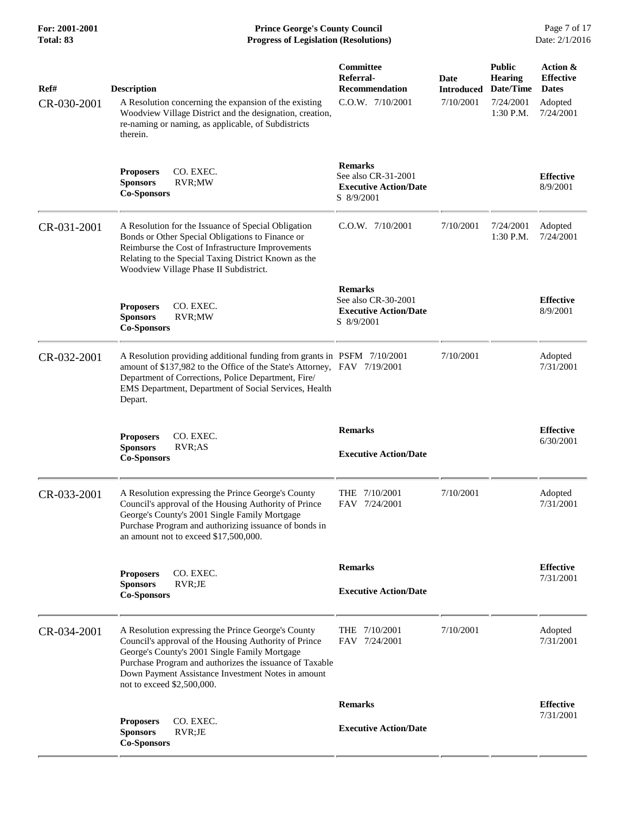**For: 2001-2001 Prince George's County Council** Page 7 of 17<br> **Prince George's County Council** Page 7 of 17<br> **Progress of Legislation (Resolutions)** Date: 2/1/2016 **Progress of Legislation (Resolutions)** 

| Ref#<br>CR-030-2001 | <b>Description</b><br>A Resolution concerning the expansion of the existing                                                                                                                                                                                                                                 | Committee<br>Referral-<br><b>Recommendation</b><br>C.O.W. 7/10/2001                 | <b>Date</b><br><b>Introduced</b><br>7/10/2001 | <b>Public</b><br><b>Hearing</b><br>Date/Time<br>7/24/2001 | Action &<br><b>Effective</b><br><b>Dates</b><br>Adopted |
|---------------------|-------------------------------------------------------------------------------------------------------------------------------------------------------------------------------------------------------------------------------------------------------------------------------------------------------------|-------------------------------------------------------------------------------------|-----------------------------------------------|-----------------------------------------------------------|---------------------------------------------------------|
|                     | Woodview Village District and the designation, creation,<br>re-naming or naming, as applicable, of Subdistricts<br>therein.                                                                                                                                                                                 |                                                                                     |                                               | $1:30$ P.M.                                               | 7/24/2001                                               |
|                     | CO. EXEC.<br><b>Proposers</b><br><b>Sponsors</b><br>RVR;MW<br><b>Co-Sponsors</b>                                                                                                                                                                                                                            | <b>Remarks</b><br>See also CR-31-2001<br><b>Executive Action/Date</b><br>S 8/9/2001 |                                               |                                                           | <b>Effective</b><br>8/9/2001                            |
| CR-031-2001         | A Resolution for the Issuance of Special Obligation<br>Bonds or Other Special Obligations to Finance or<br>Reimburse the Cost of Infrastructure Improvements<br>Relating to the Special Taxing District Known as the<br>Woodview Village Phase II Subdistrict.                                              | C.O.W. 7/10/2001                                                                    | 7/10/2001                                     | 7/24/2001<br>$1:30$ P.M.                                  | Adopted<br>7/24/2001                                    |
|                     | CO. EXEC.<br><b>Proposers</b><br>RVR;MW<br><b>Sponsors</b><br><b>Co-Sponsors</b>                                                                                                                                                                                                                            | <b>Remarks</b><br>See also CR-30-2001<br><b>Executive Action/Date</b><br>S 8/9/2001 |                                               |                                                           | <b>Effective</b><br>8/9/2001                            |
| CR-032-2001         | A Resolution providing additional funding from grants in PSFM 7/10/2001<br>amount of \$137,982 to the Office of the State's Attorney, FAV 7/19/2001<br>Department of Corrections, Police Department, Fire/<br>EMS Department, Department of Social Services, Health<br>Depart.                              |                                                                                     | 7/10/2001                                     |                                                           | Adopted<br>7/31/2001                                    |
|                     | CO. EXEC.<br><b>Proposers</b><br><b>Sponsors</b><br>RVR;AS<br><b>Co-Sponsors</b>                                                                                                                                                                                                                            | <b>Remarks</b><br><b>Executive Action/Date</b>                                      |                                               |                                                           | <b>Effective</b><br>6/30/2001                           |
| CR-033-2001         | A Resolution expressing the Prince George's County<br>Council's approval of the Housing Authority of Prince<br>George's County's 2001 Single Family Mortgage<br>Purchase Program and authorizing issuance of bonds in<br>an amount not to exceed \$17,500,000.                                              | THE 7/10/2001<br>FAV 7/24/2001                                                      | 7/10/2001                                     |                                                           | Adopted<br>7/31/2001                                    |
|                     | CO. EXEC.<br><b>Proposers</b><br><b>Sponsors</b><br>$RVR$ ; J $E$<br><b>Co-Sponsors</b>                                                                                                                                                                                                                     | <b>Remarks</b><br><b>Executive Action/Date</b>                                      |                                               |                                                           | <b>Effective</b><br>7/31/2001                           |
| CR-034-2001         | A Resolution expressing the Prince George's County<br>Council's approval of the Housing Authority of Prince<br>George's County's 2001 Single Family Mortgage<br>Purchase Program and authorizes the issuance of Taxable<br>Down Payment Assistance Investment Notes in amount<br>not to exceed \$2,500,000. | THE 7/10/2001<br>FAV 7/24/2001                                                      | 7/10/2001                                     |                                                           | Adopted<br>7/31/2001                                    |
|                     |                                                                                                                                                                                                                                                                                                             | <b>Remarks</b>                                                                      |                                               |                                                           | <b>Effective</b><br>7/31/2001                           |
|                     | CO. EXEC.<br><b>Proposers</b><br><b>Sponsors</b><br>RVR;JE<br><b>Co-Sponsors</b>                                                                                                                                                                                                                            | <b>Executive Action/Date</b>                                                        |                                               |                                                           |                                                         |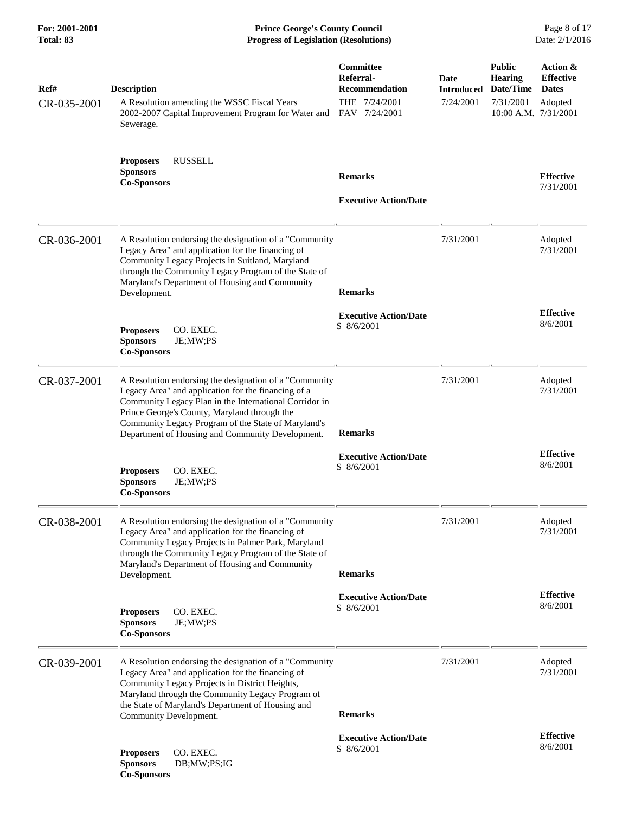**For: 2001-2001 Prince George's County Council** Page 8 of 17<br> **Prince George's County Council** Page 8 of 17<br> **Progress of Legislation (Resolutions)** Date: 2/1/2016 **Progress of Legislation (Resolutions) Progress of Legislation (Resolutions)** 

| Ref#<br>CR-035-2001 | <b>Description</b><br>A Resolution amending the WSSC Fiscal Years<br>2002-2007 Capital Improvement Program for Water and<br>Sewerage.                                                                                                                                                                                               | Committee<br>Referral-<br>Recommendation<br>THE 7/24/2001<br>FAV 7/24/2001 | Date<br><b>Introduced</b><br>7/24/2001 | <b>Public</b><br><b>Hearing</b><br>Date/Time<br>7/31/2001<br>10:00 A.M. 7/31/2001 | Action &<br><b>Effective</b><br><b>Dates</b><br>Adopted |
|---------------------|-------------------------------------------------------------------------------------------------------------------------------------------------------------------------------------------------------------------------------------------------------------------------------------------------------------------------------------|----------------------------------------------------------------------------|----------------------------------------|-----------------------------------------------------------------------------------|---------------------------------------------------------|
|                     | <b>RUSSELL</b><br><b>Proposers</b><br><b>Sponsors</b><br><b>Co-Sponsors</b>                                                                                                                                                                                                                                                         | <b>Remarks</b><br><b>Executive Action/Date</b>                             |                                        |                                                                                   | <b>Effective</b><br>7/31/2001                           |
| CR-036-2001         | A Resolution endorsing the designation of a "Community<br>Legacy Area" and application for the financing of<br>Community Legacy Projects in Suitland, Maryland<br>through the Community Legacy Program of the State of<br>Maryland's Department of Housing and Community<br>Development.                                            | <b>Remarks</b>                                                             | 7/31/2001                              |                                                                                   | Adopted<br>7/31/2001                                    |
|                     | <b>Proposers</b><br>CO. EXEC.<br><b>Sponsors</b><br>JE;MW;PS<br><b>Co-Sponsors</b>                                                                                                                                                                                                                                                  | <b>Executive Action/Date</b><br>S 8/6/2001                                 |                                        |                                                                                   | <b>Effective</b><br>8/6/2001                            |
| CR-037-2001         | A Resolution endorsing the designation of a "Community"<br>Legacy Area" and application for the financing of a<br>Community Legacy Plan in the International Corridor in<br>Prince George's County, Maryland through the<br>Community Legacy Program of the State of Maryland's<br>Department of Housing and Community Development. | <b>Remarks</b>                                                             | 7/31/2001                              |                                                                                   | Adopted<br>7/31/2001                                    |
|                     | CO. EXEC.<br><b>Proposers</b><br><b>Sponsors</b><br>JE;MW;PS<br><b>Co-Sponsors</b>                                                                                                                                                                                                                                                  | <b>Executive Action/Date</b><br>S 8/6/2001                                 |                                        |                                                                                   | <b>Effective</b><br>8/6/2001                            |
| CR-038-2001         | A Resolution endorsing the designation of a "Community<br>Legacy Area" and application for the financing of<br>Community Legacy Projects in Palmer Park, Maryland<br>through the Community Legacy Program of the State of<br>Maryland's Department of Housing and Community<br>Development.                                         | <b>Remarks</b>                                                             | 7/31/2001                              |                                                                                   | Adopted<br>7/31/2001                                    |
|                     | CO. EXEC.<br><b>Proposers</b><br><b>Sponsors</b><br>JE;MW;PS<br><b>Co-Sponsors</b>                                                                                                                                                                                                                                                  | <b>Executive Action/Date</b><br>S 8/6/2001                                 |                                        |                                                                                   | <b>Effective</b><br>8/6/2001                            |
| CR-039-2001         | A Resolution endorsing the designation of a "Community"<br>Legacy Area" and application for the financing of<br>Community Legacy Projects in District Heights,<br>Maryland through the Community Legacy Program of<br>the State of Maryland's Department of Housing and<br>Community Development.                                   | <b>Remarks</b>                                                             | 7/31/2001                              |                                                                                   | Adopted<br>7/31/2001                                    |
|                     | <b>Proposers</b><br>CO. EXEC.<br><b>Sponsors</b><br>DB;MW;PS;IG<br><b>Co-Sponsors</b>                                                                                                                                                                                                                                               | <b>Executive Action/Date</b><br>S 8/6/2001                                 |                                        |                                                                                   | <b>Effective</b><br>8/6/2001                            |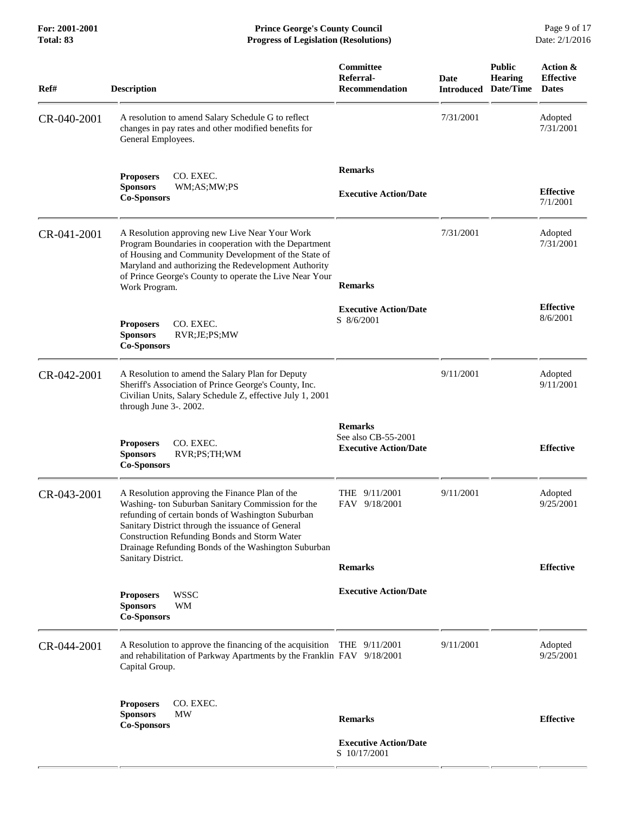| Ref#        | <b>Description</b>                                                                                                                                                                                                                                                                                                  | Committee<br>Referral-<br><b>Recommendation</b>                       | <b>Date</b><br><b>Introduced</b> | <b>Public</b><br><b>Hearing</b><br>Date/Time | Action &<br><b>Effective</b><br><b>Dates</b> |
|-------------|---------------------------------------------------------------------------------------------------------------------------------------------------------------------------------------------------------------------------------------------------------------------------------------------------------------------|-----------------------------------------------------------------------|----------------------------------|----------------------------------------------|----------------------------------------------|
| CR-040-2001 | A resolution to amend Salary Schedule G to reflect<br>changes in pay rates and other modified benefits for<br>General Employees.                                                                                                                                                                                    |                                                                       | 7/31/2001                        |                                              | Adopted<br>7/31/2001                         |
|             | CO. EXEC.<br><b>Proposers</b><br><b>Sponsors</b><br>WM;AS;MW;PS<br><b>Co-Sponsors</b>                                                                                                                                                                                                                               | <b>Remarks</b><br><b>Executive Action/Date</b>                        |                                  |                                              | <b>Effective</b><br>7/1/2001                 |
| CR-041-2001 | A Resolution approving new Live Near Your Work<br>Program Boundaries in cooperation with the Department<br>of Housing and Community Development of the State of<br>Maryland and authorizing the Redevelopment Authority<br>of Prince George's County to operate the Live Near Your<br>Work Program.                 | <b>Remarks</b>                                                        | 7/31/2001                        |                                              | Adopted<br>7/31/2001                         |
|             | CO. EXEC.<br><b>Proposers</b><br><b>Sponsors</b><br>RVR;JE;PS;MW<br><b>Co-Sponsors</b>                                                                                                                                                                                                                              | <b>Executive Action/Date</b><br>S 8/6/2001                            |                                  |                                              | <b>Effective</b><br>8/6/2001                 |
| CR-042-2001 | A Resolution to amend the Salary Plan for Deputy<br>Sheriff's Association of Prince George's County, Inc.<br>Civilian Units, Salary Schedule Z, effective July 1, 2001<br>through June 3-. 2002.                                                                                                                    |                                                                       | 9/11/2001                        |                                              | Adopted<br>9/11/2001                         |
|             | CO. EXEC.<br><b>Proposers</b><br><b>Sponsors</b><br>RVR;PS;TH;WM<br><b>Co-Sponsors</b>                                                                                                                                                                                                                              | <b>Remarks</b><br>See also CB-55-2001<br><b>Executive Action/Date</b> |                                  |                                              | <b>Effective</b>                             |
| CR-043-2001 | A Resolution approving the Finance Plan of the<br>Washing-ton Suburban Sanitary Commission for the<br>refunding of certain bonds of Washington Suburban<br>Sanitary District through the issuance of General<br>Construction Refunding Bonds and Storm Water<br>Drainage Refunding Bonds of the Washington Suburban | THE 9/11/2001<br>FAV 9/18/2001                                        | 9/11/2001                        |                                              | Adopted<br>9/25/2001                         |
|             | Sanitary District.                                                                                                                                                                                                                                                                                                  | <b>Remarks</b>                                                        |                                  |                                              | <b>Effective</b>                             |
|             | <b>WSSC</b><br><b>Proposers</b><br>WM<br><b>Sponsors</b><br><b>Co-Sponsors</b>                                                                                                                                                                                                                                      | <b>Executive Action/Date</b>                                          |                                  |                                              |                                              |
| CR-044-2001 | A Resolution to approve the financing of the acquisition<br>and rehabilitation of Parkway Apartments by the Franklin FAV 9/18/2001<br>Capital Group.                                                                                                                                                                | THE $9/11/2001$                                                       | 9/11/2001                        |                                              | Adopted<br>9/25/2001                         |
|             | CO. EXEC.<br><b>Proposers</b><br><b>MW</b><br><b>Sponsors</b><br><b>Co-Sponsors</b>                                                                                                                                                                                                                                 | <b>Remarks</b>                                                        |                                  |                                              | <b>Effective</b>                             |
|             |                                                                                                                                                                                                                                                                                                                     | <b>Executive Action/Date</b><br>S 10/17/2001                          |                                  |                                              |                                              |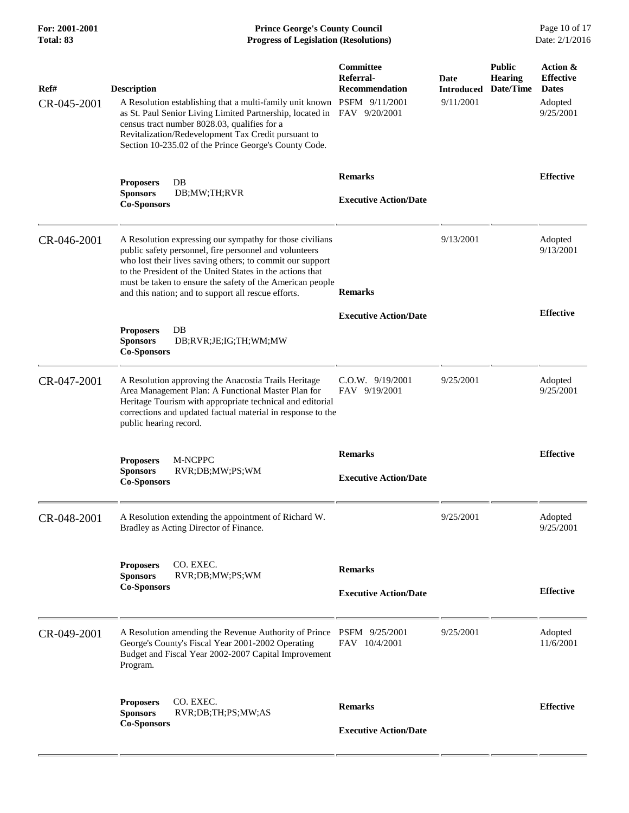| For: 2001-2001<br><b>Total: 83</b> | <b>Prince George's County Council</b><br><b>Progress of Legislation (Resolutions)</b>                                                                                                                                                                                                                                                                            |                                                 |                                        |                                              | Page 10 of 17<br>Date: 2/1/2016                                      |
|------------------------------------|------------------------------------------------------------------------------------------------------------------------------------------------------------------------------------------------------------------------------------------------------------------------------------------------------------------------------------------------------------------|-------------------------------------------------|----------------------------------------|----------------------------------------------|----------------------------------------------------------------------|
| Ref#<br>CR-045-2001                | <b>Description</b><br>A Resolution establishing that a multi-family unit known PSFM 9/11/2001<br>as St. Paul Senior Living Limited Partnership, located in FAV 9/20/2001<br>census tract number 8028.03, qualifies for a<br>Revitalization/Redevelopment Tax Credit pursuant to<br>Section 10-235.02 of the Prince George's County Code.                         | Committee<br>Referral-<br><b>Recommendation</b> | Date<br><b>Introduced</b><br>9/11/2001 | <b>Public</b><br><b>Hearing</b><br>Date/Time | Action &<br><b>Effective</b><br><b>Dates</b><br>Adopted<br>9/25/2001 |
|                                    | <b>Proposers</b><br>DB<br><b>Sponsors</b><br>DB;MW;TH;RVR<br><b>Co-Sponsors</b>                                                                                                                                                                                                                                                                                  | <b>Remarks</b><br><b>Executive Action/Date</b>  |                                        |                                              | <b>Effective</b>                                                     |
| CR-046-2001                        | A Resolution expressing our sympathy for those civilians<br>public safety personnel, fire personnel and volunteers<br>who lost their lives saving others; to commit our support<br>to the President of the United States in the actions that<br>must be taken to ensure the safety of the American people<br>and this nation; and to support all rescue efforts. | <b>Remarks</b>                                  | 9/13/2001                              |                                              | Adopted<br>9/13/2001                                                 |
|                                    | <b>Proposers</b><br>DB<br><b>Sponsors</b><br>DB;RVR;JE;IG;TH;WM;MW<br><b>Co-Sponsors</b>                                                                                                                                                                                                                                                                         | <b>Executive Action/Date</b>                    |                                        |                                              | <b>Effective</b>                                                     |
| CR-047-2001                        | A Resolution approving the Anacostia Trails Heritage<br>Area Management Plan: A Functional Master Plan for<br>Heritage Tourism with appropriate technical and editorial<br>corrections and updated factual material in response to the<br>public hearing record.                                                                                                 | C.O.W. 9/19/2001<br>FAV 9/19/2001               | 9/25/2001                              |                                              | Adopted<br>9/25/2001                                                 |
|                                    | M-NCPPC<br><b>Proposers</b><br>RVR;DB;MW;PS;WM<br><b>Sponsors</b><br><b>Co-Sponsors</b>                                                                                                                                                                                                                                                                          | <b>Remarks</b><br><b>Executive Action/Date</b>  |                                        |                                              | <b>Effective</b>                                                     |
| CR-048-2001                        | A Resolution extending the appointment of Richard W.<br>Bradley as Acting Director of Finance.                                                                                                                                                                                                                                                                   |                                                 | 9/25/2001                              |                                              | Adopted<br>9/25/2001                                                 |
|                                    | <b>Proposers</b><br>CO. EXEC.<br><b>Sponsors</b><br>RVR;DB;MW;PS;WM<br><b>Co-Sponsors</b>                                                                                                                                                                                                                                                                        | <b>Remarks</b><br><b>Executive Action/Date</b>  |                                        |                                              | <b>Effective</b>                                                     |
| CR-049-2001                        | A Resolution amending the Revenue Authority of Prince PSFM 9/25/2001<br>George's County's Fiscal Year 2001-2002 Operating<br>Budget and Fiscal Year 2002-2007 Capital Improvement<br>Program.                                                                                                                                                                    | FAV 10/4/2001                                   | 9/25/2001                              |                                              | Adopted<br>11/6/2001                                                 |
|                                    | CO. EXEC.<br><b>Proposers</b><br><b>Sponsors</b><br>RVR;DB;TH;PS;MW;AS<br><b>Co-Sponsors</b>                                                                                                                                                                                                                                                                     | <b>Remarks</b>                                  |                                        |                                              | <b>Effective</b>                                                     |
|                                    |                                                                                                                                                                                                                                                                                                                                                                  | <b>Executive Action/Date</b>                    |                                        |                                              |                                                                      |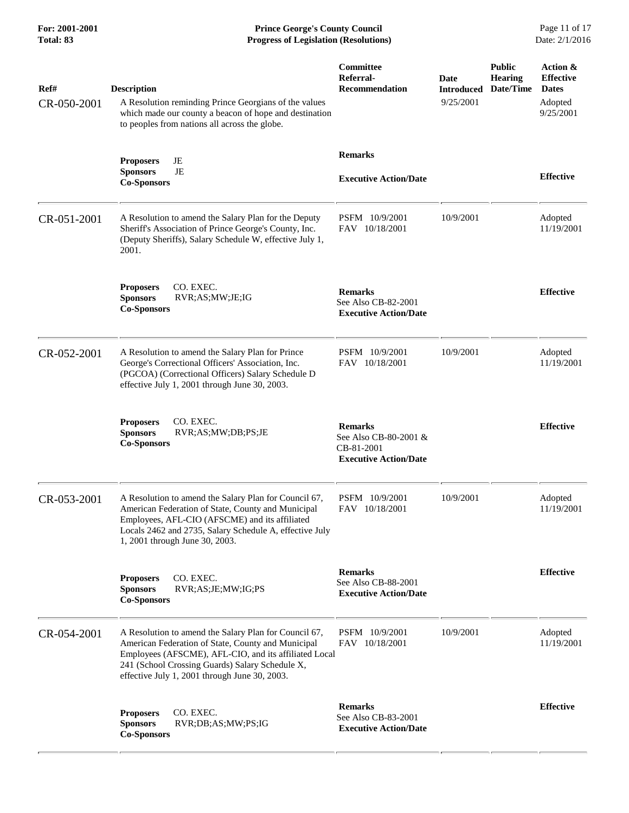**For: 2001-2001 Prince George's County Council** Page 11 of 17<br> **Prince George's County Council** Page 11 of 17<br> **Progress of Legislation (Resolutions)** Date: 2/1/2016 **Progress of Legislation (Resolutions) Progress of Legislation (Resolutions)** 

| Ref#<br>CR-050-2001 | <b>Description</b><br>A Resolution reminding Prince Georgians of the values<br>which made our county a beacon of hope and destination<br>to peoples from nations all across the globe.                                                                                   | Committee<br>Referral-<br>Recommendation                                              | <b>Date</b><br><b>Introduced</b><br>9/25/2001 | <b>Public</b><br><b>Hearing</b><br>Date/Time | Action &<br><b>Effective</b><br><b>Dates</b><br>Adopted<br>9/25/2001 |
|---------------------|--------------------------------------------------------------------------------------------------------------------------------------------------------------------------------------------------------------------------------------------------------------------------|---------------------------------------------------------------------------------------|-----------------------------------------------|----------------------------------------------|----------------------------------------------------------------------|
|                     | <b>Proposers</b><br>JE<br>JE<br><b>Sponsors</b><br><b>Co-Sponsors</b>                                                                                                                                                                                                    | <b>Remarks</b><br><b>Executive Action/Date</b>                                        |                                               |                                              | <b>Effective</b>                                                     |
| CR-051-2001         | A Resolution to amend the Salary Plan for the Deputy<br>Sheriff's Association of Prince George's County, Inc.<br>(Deputy Sheriffs), Salary Schedule W, effective July 1,<br>2001.                                                                                        | PSFM 10/9/2001<br>FAV 10/18/2001                                                      | 10/9/2001                                     |                                              | Adopted<br>11/19/2001                                                |
|                     | CO. EXEC.<br><b>Proposers</b><br><b>Sponsors</b><br>RVR;AS;MW;JE;IG<br><b>Co-Sponsors</b>                                                                                                                                                                                | <b>Remarks</b><br>See Also CB-82-2001<br><b>Executive Action/Date</b>                 |                                               |                                              | <b>Effective</b>                                                     |
| CR-052-2001         | A Resolution to amend the Salary Plan for Prince<br>George's Correctional Officers' Association, Inc.<br>(PGCOA) (Correctional Officers) Salary Schedule D<br>effective July 1, 2001 through June 30, 2003.                                                              | PSFM 10/9/2001<br>FAV 10/18/2001                                                      | 10/9/2001                                     |                                              | Adopted<br>11/19/2001                                                |
|                     | CO. EXEC.<br><b>Proposers</b><br><b>Sponsors</b><br>RVR;AS;MW;DB;PS;JE<br><b>Co-Sponsors</b>                                                                                                                                                                             | <b>Remarks</b><br>See Also CB-80-2001 &<br>CB-81-2001<br><b>Executive Action/Date</b> |                                               |                                              | <b>Effective</b>                                                     |
| CR-053-2001         | A Resolution to amend the Salary Plan for Council 67,<br>American Federation of State, County and Municipal<br>Employees, AFL-CIO (AFSCME) and its affiliated<br>Locals 2462 and 2735, Salary Schedule A, effective July<br>1, 2001 through June 30, 2003.               | PSFM 10/9/2001<br>FAV 10/18/2001                                                      | 10/9/2001                                     |                                              | Adopted<br>11/19/2001                                                |
|                     | CO. EXEC.<br><b>Proposers</b><br><b>Sponsors</b><br>RVR;AS;JE;MW;IG;PS<br><b>Co-Sponsors</b>                                                                                                                                                                             | <b>Remarks</b><br>See Also CB-88-2001<br><b>Executive Action/Date</b>                 |                                               |                                              | <b>Effective</b>                                                     |
| CR-054-2001         | A Resolution to amend the Salary Plan for Council 67,<br>American Federation of State, County and Municipal<br>Employees (AFSCME), AFL-CIO, and its affiliated Local<br>241 (School Crossing Guards) Salary Schedule X,<br>effective July 1, 2001 through June 30, 2003. | PSFM 10/9/2001<br>FAV 10/18/2001                                                      | 10/9/2001                                     |                                              | Adopted<br>11/19/2001                                                |
|                     | CO. EXEC.<br><b>Proposers</b><br><b>Sponsors</b><br>RVR;DB;AS;MW;PS;IG<br><b>Co-Sponsors</b>                                                                                                                                                                             | <b>Remarks</b><br>See Also CB-83-2001<br><b>Executive Action/Date</b>                 |                                               |                                              | <b>Effective</b>                                                     |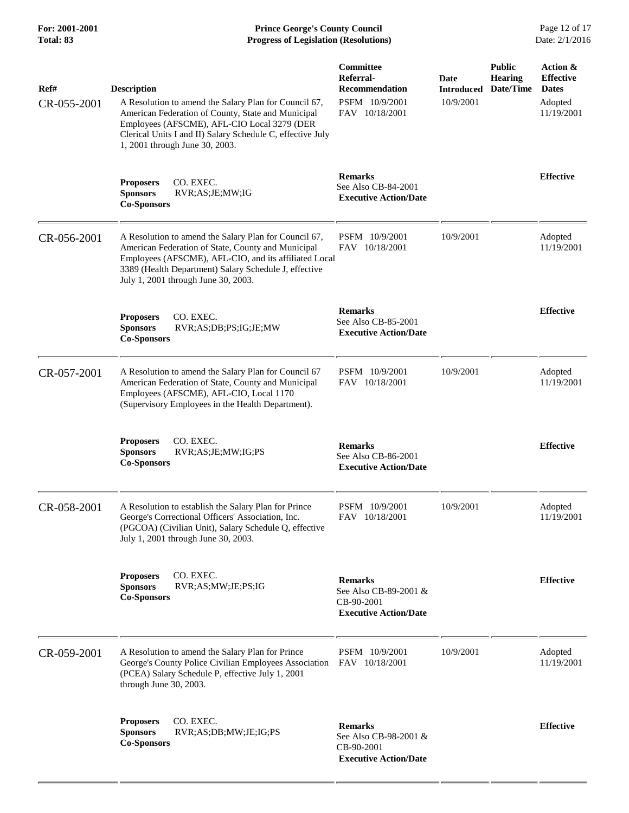**For: 2001-2001 Prince George's County Council** Page 12 of 17<br> **Prince George's County Council** Page 12 of 17<br> **Progress of Legislation (Resolutions)** Date: 2/1/2016 **Progress of Legislation (Resolutions) Progress of Legislation (Resolutions)** 

| Ref#<br>CR-055-2001 | <b>Description</b><br>A Resolution to amend the Salary Plan for Council 67,<br>American Federation of County, State and Municipal<br>Employees (AFSCME), AFL-CIO Local 3279 (DER<br>Clerical Units I and II) Salary Schedule C, effective July<br>1, 2001 through June 30, 2003. | Committee<br>Referral-<br>Recommendation<br>PSFM 10/9/2001<br>FAV 10/18/2001          | Date<br><b>Introduced</b><br>10/9/2001 | <b>Public</b><br><b>Hearing</b><br>Date/Time | Action &<br><b>Effective</b><br><b>Dates</b><br>Adopted<br>11/19/2001 |
|---------------------|----------------------------------------------------------------------------------------------------------------------------------------------------------------------------------------------------------------------------------------------------------------------------------|---------------------------------------------------------------------------------------|----------------------------------------|----------------------------------------------|-----------------------------------------------------------------------|
|                     | CO. EXEC.<br><b>Proposers</b><br><b>Sponsors</b><br>RVR;AS;JE;MW;IG<br><b>Co-Sponsors</b>                                                                                                                                                                                        | <b>Remarks</b><br>See Also CB-84-2001<br><b>Executive Action/Date</b>                 |                                        |                                              | <b>Effective</b>                                                      |
| CR-056-2001         | A Resolution to amend the Salary Plan for Council 67,<br>American Federation of State, County and Municipal<br>Employees (AFSCME), AFL-CIO, and its affiliated Local<br>3389 (Health Department) Salary Schedule J, effective<br>July 1, 2001 through June 30, 2003.             | PSFM 10/9/2001<br>FAV 10/18/2001                                                      | 10/9/2001                              |                                              | Adopted<br>11/19/2001                                                 |
|                     | CO. EXEC.<br><b>Proposers</b><br><b>Sponsors</b><br>RVR;AS;DB;PS;IG;JE;MW<br><b>Co-Sponsors</b>                                                                                                                                                                                  | <b>Remarks</b><br>See Also CB-85-2001<br><b>Executive Action/Date</b>                 |                                        |                                              | <b>Effective</b>                                                      |
| CR-057-2001         | A Resolution to amend the Salary Plan for Council 67<br>American Federation of State, County and Municipal<br>Employees (AFSCME), AFL-CIO, Local 1170<br>(Supervisory Employees in the Health Department).                                                                       | PSFM 10/9/2001<br>FAV 10/18/2001                                                      | 10/9/2001                              |                                              | Adopted<br>11/19/2001                                                 |
|                     | CO. EXEC.<br><b>Proposers</b><br><b>Sponsors</b><br>RVR;AS;JE;MW;IG;PS<br><b>Co-Sponsors</b>                                                                                                                                                                                     | <b>Remarks</b><br>See Also CB-86-2001<br><b>Executive Action/Date</b>                 |                                        |                                              | <b>Effective</b>                                                      |
| CR-058-2001         | A Resolution to establish the Salary Plan for Prince<br>George's Correctional Officers' Association, Inc.<br>(PGCOA) (Civilian Unit), Salary Schedule Q, effective<br>July 1, 2001 through June 30, 2003.                                                                        | PSFM 10/9/2001<br>FAV 10/18/2001                                                      | 10/9/2001                              |                                              | Adopted<br>11/19/2001                                                 |
|                     | CO. EXEC.<br><b>Proposers</b><br><b>Sponsors</b><br>RVR;AS;MW;JE;PS;IG<br><b>Co-Sponsors</b>                                                                                                                                                                                     | <b>Remarks</b><br>See Also CB-89-2001 &<br>CB-90-2001<br><b>Executive Action/Date</b> |                                        |                                              | <b>Effective</b>                                                      |
| CR-059-2001         | A Resolution to amend the Salary Plan for Prince<br>George's County Police Civilian Employees Association<br>(PCEA) Salary Schedule P, effective July 1, 2001<br>through June 30, 2003.                                                                                          | PSFM 10/9/2001<br>FAV 10/18/2001                                                      | 10/9/2001                              |                                              | Adopted<br>11/19/2001                                                 |
|                     | CO. EXEC.<br><b>Proposers</b><br><b>Sponsors</b><br>RVR;AS;DB;MW;JE;IG;PS<br><b>Co-Sponsors</b>                                                                                                                                                                                  | <b>Remarks</b><br>See Also CB-98-2001 &<br>CB-90-2001<br><b>Executive Action/Date</b> |                                        |                                              | <b>Effective</b>                                                      |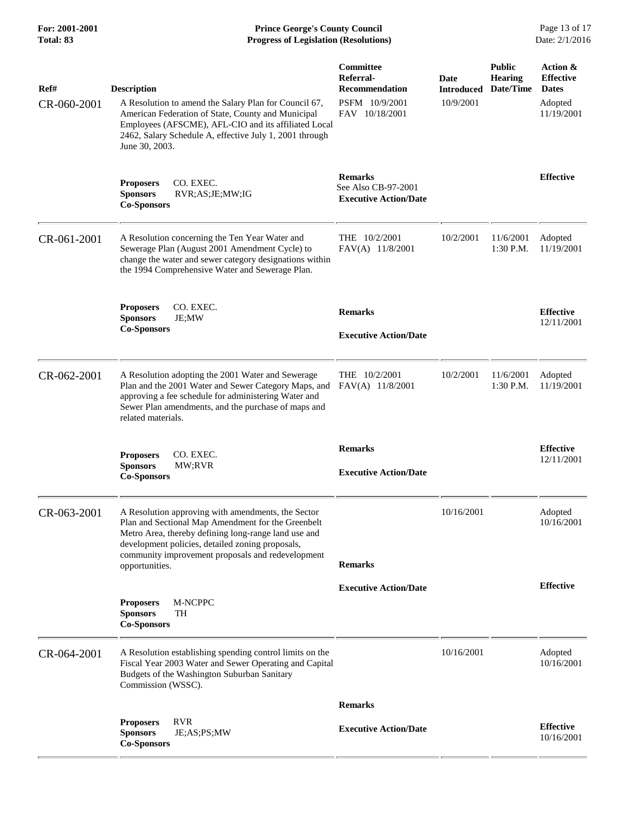**For: 2001-2001 Prince George's County Council** Page 13 of 17<br> **Prince George's County Council** Page 13 of 17<br> **Progress of Legislation (Resolutions)** Date: 2/1/2016 **Progress of Legislation (Resolutions) Progress of Legislation (Resolutions)** 

| Ref#        | <b>Description</b>                                                                                                                                                                                                                                                        | Committee<br>Referral-<br><b>Recommendation</b>                       | Date<br><b>Introduced</b> | <b>Public</b><br><b>Hearing</b><br>Date/Time | Action &<br><b>Effective</b><br><b>Dates</b> |
|-------------|---------------------------------------------------------------------------------------------------------------------------------------------------------------------------------------------------------------------------------------------------------------------------|-----------------------------------------------------------------------|---------------------------|----------------------------------------------|----------------------------------------------|
| CR-060-2001 | A Resolution to amend the Salary Plan for Council 67,<br>American Federation of State, County and Municipal<br>Employees (AFSCME), AFL-CIO and its affiliated Local<br>2462, Salary Schedule A, effective July 1, 2001 through<br>June 30, 2003.                          | PSFM 10/9/2001<br>FAV 10/18/2001                                      | 10/9/2001                 |                                              | Adopted<br>11/19/2001                        |
|             | CO. EXEC.<br><b>Proposers</b><br>RVR;AS;JE;MW;IG<br><b>Sponsors</b><br><b>Co-Sponsors</b>                                                                                                                                                                                 | <b>Remarks</b><br>See Also CB-97-2001<br><b>Executive Action/Date</b> |                           |                                              | <b>Effective</b>                             |
| CR-061-2001 | A Resolution concerning the Ten Year Water and<br>Sewerage Plan (August 2001 Amendment Cycle) to<br>change the water and sewer category designations within<br>the 1994 Comprehensive Water and Sewerage Plan.                                                            | THE 10/2/2001<br>FAV(A) 11/8/2001                                     | 10/2/2001                 | 11/6/2001<br>1:30 P.M.                       | Adopted<br>11/19/2001                        |
|             | <b>Proposers</b><br>CO. EXEC.<br><b>Sponsors</b><br>JE;MW                                                                                                                                                                                                                 | <b>Remarks</b>                                                        |                           |                                              | <b>Effective</b>                             |
|             | <b>Co-Sponsors</b>                                                                                                                                                                                                                                                        | <b>Executive Action/Date</b>                                          |                           |                                              | 12/11/2001                                   |
| CR-062-2001 | A Resolution adopting the 2001 Water and Sewerage<br>Plan and the 2001 Water and Sewer Category Maps, and<br>approving a fee schedule for administering Water and<br>Sewer Plan amendments, and the purchase of maps and<br>related materials.                            | THE 10/2/2001<br>FAV(A) 11/8/2001                                     | 10/2/2001                 | 11/6/2001<br>1:30 P.M.                       | Adopted<br>11/19/2001                        |
|             | CO. EXEC.<br><b>Proposers</b><br><b>Sponsors</b><br>MW;RVR<br><b>Co-Sponsors</b>                                                                                                                                                                                          | <b>Remarks</b><br><b>Executive Action/Date</b>                        |                           |                                              | <b>Effective</b><br>12/11/2001               |
| CR-063-2001 | A Resolution approving with amendments, the Sector<br>Plan and Sectional Map Amendment for the Greenbelt<br>Metro Area, thereby defining long-range land use and<br>development policies, detailed zoning proposals,<br>community improvement proposals and redevelopment |                                                                       | 10/16/2001                |                                              | Adopted<br>10/16/2001                        |
|             | opportunities.                                                                                                                                                                                                                                                            | <b>Remarks</b>                                                        |                           |                                              |                                              |
|             | M-NCPPC<br><b>Proposers</b><br><b>Sponsors</b><br>TH<br><b>Co-Sponsors</b>                                                                                                                                                                                                | <b>Executive Action/Date</b>                                          |                           |                                              | <b>Effective</b>                             |
| CR-064-2001 | A Resolution establishing spending control limits on the<br>Fiscal Year 2003 Water and Sewer Operating and Capital<br>Budgets of the Washington Suburban Sanitary<br>Commission (WSSC).                                                                                   |                                                                       | 10/16/2001                |                                              | Adopted<br>10/16/2001                        |
|             |                                                                                                                                                                                                                                                                           | <b>Remarks</b>                                                        |                           |                                              |                                              |
|             | <b>RVR</b><br><b>Proposers</b><br>JE;AS;PS;MW<br><b>Sponsors</b><br><b>Co-Sponsors</b>                                                                                                                                                                                    | <b>Executive Action/Date</b>                                          |                           |                                              | <b>Effective</b><br>10/16/2001               |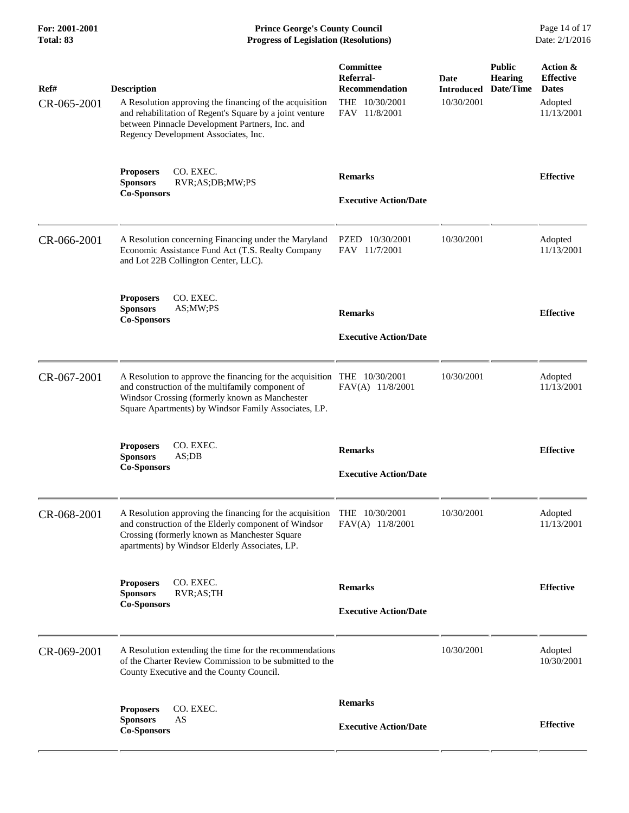**For: 2001-2001 Prince George's County Council** Page 14 of 17<br> **Prince George's County Council** Page 14 of 17<br> **Progress of Legislation (Resolutions)** Date: 2/1/2016 **Progress of Legislation (Resolutions)** 

| Ref#<br>CR-065-2001 | <b>Description</b><br>A Resolution approving the financing of the acquisition<br>and rehabilitation of Regent's Square by a joint venture<br>between Pinnacle Development Partners, Inc. and<br>Regency Development Associates, Inc.   | Committee<br>Referral-<br><b>Recommendation</b><br>THE 10/30/2001<br>FAV 11/8/2001 | Date<br><b>Introduced</b><br>10/30/2001 | <b>Public</b><br><b>Hearing</b><br>Date/Time | Action &<br><b>Effective</b><br><b>Dates</b><br>Adopted<br>11/13/2001 |
|---------------------|----------------------------------------------------------------------------------------------------------------------------------------------------------------------------------------------------------------------------------------|------------------------------------------------------------------------------------|-----------------------------------------|----------------------------------------------|-----------------------------------------------------------------------|
|                     | CO. EXEC.<br><b>Proposers</b><br><b>Sponsors</b><br>RVR;AS;DB;MW;PS<br><b>Co-Sponsors</b>                                                                                                                                              | <b>Remarks</b><br><b>Executive Action/Date</b>                                     |                                         |                                              | <b>Effective</b>                                                      |
| CR-066-2001         | A Resolution concerning Financing under the Maryland<br>Economic Assistance Fund Act (T.S. Realty Company<br>and Lot 22B Collington Center, LLC).                                                                                      | PZED 10/30/2001<br>FAV 11/7/2001                                                   | 10/30/2001                              |                                              | Adopted<br>11/13/2001                                                 |
|                     | CO. EXEC.<br><b>Proposers</b><br><b>Sponsors</b><br>AS;MW;PS<br><b>Co-Sponsors</b>                                                                                                                                                     | <b>Remarks</b><br><b>Executive Action/Date</b>                                     |                                         |                                              | <b>Effective</b>                                                      |
| CR-067-2001         | A Resolution to approve the financing for the acquisition THE 10/30/2001<br>and construction of the multifamily component of<br>Windsor Crossing (formerly known as Manchester<br>Square Apartments) by Windsor Family Associates, LP. | FAV(A) 11/8/2001                                                                   | 10/30/2001                              |                                              | Adopted<br>11/13/2001                                                 |
|                     | CO. EXEC.<br><b>Proposers</b><br><b>Sponsors</b><br>AS;DB<br><b>Co-Sponsors</b>                                                                                                                                                        | <b>Remarks</b><br><b>Executive Action/Date</b>                                     |                                         |                                              | <b>Effective</b>                                                      |
| CR-068-2001         | A Resolution approving the financing for the acquisition THE 10/30/2001<br>and construction of the Elderly component of Windsor<br>Crossing (formerly known as Manchester Square<br>apartments) by Windsor Elderly Associates, LP.     | FAV(A) 11/8/2001                                                                   | 10/30/2001                              |                                              | Adopted<br>11/13/2001                                                 |
|                     | CO. EXEC.<br><b>Proposers</b><br><b>Sponsors</b><br>RVR;AS;TH<br><b>Co-Sponsors</b>                                                                                                                                                    | <b>Remarks</b><br><b>Executive Action/Date</b>                                     |                                         |                                              | <b>Effective</b>                                                      |
| CR-069-2001         | A Resolution extending the time for the recommendations<br>of the Charter Review Commission to be submitted to the<br>County Executive and the County Council.                                                                         |                                                                                    | 10/30/2001                              |                                              | Adopted<br>10/30/2001                                                 |
|                     | CO. EXEC.<br><b>Proposers</b><br>AS<br><b>Sponsors</b><br><b>Co-Sponsors</b>                                                                                                                                                           | <b>Remarks</b><br><b>Executive Action/Date</b>                                     |                                         |                                              | <b>Effective</b>                                                      |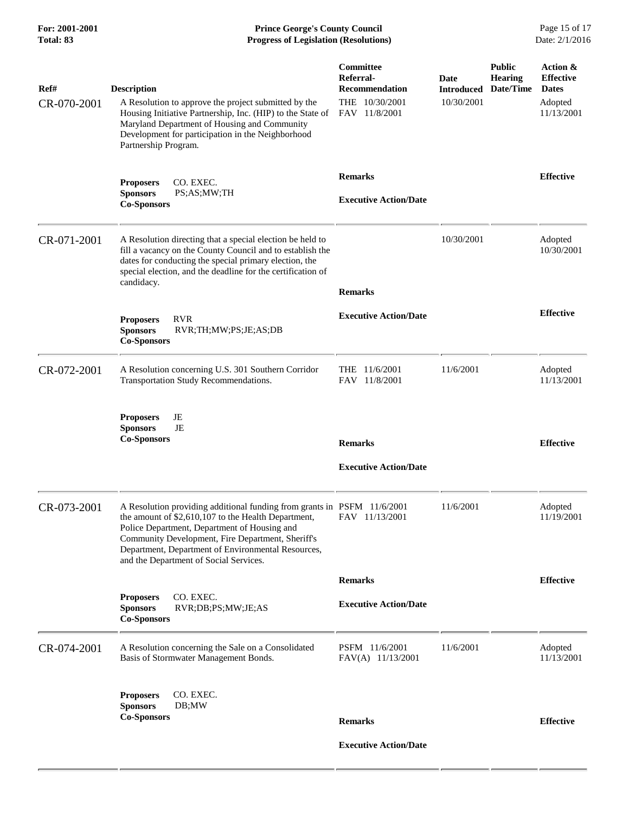**For: 2001-2001 Prince George's County Council** Page 15 of 17<br> **Prince George's County Council** Page 15 of 17<br> **Progress of Legislation (Resolutions)** Date: 2/1/2016 **Progress of Legislation (Resolutions) Progress of Legislation (Resolutions)** 

| Ref#<br>CR-070-2001 | <b>Description</b><br>A Resolution to approve the project submitted by the<br>Housing Initiative Partnership, Inc. (HIP) to the State of<br>Maryland Department of Housing and Community<br>Development for participation in the Neighborhood<br>Partnership Program.                                                                              | Committee<br>Referral-<br><b>Recommendation</b><br>THE 10/30/2001<br>FAV 11/8/2001 | Date<br><b>Introduced</b><br>10/30/2001 | <b>Public</b><br><b>Hearing</b><br>Date/Time | Action &<br><b>Effective</b><br><b>Dates</b><br>Adopted<br>11/13/2001 |
|---------------------|----------------------------------------------------------------------------------------------------------------------------------------------------------------------------------------------------------------------------------------------------------------------------------------------------------------------------------------------------|------------------------------------------------------------------------------------|-----------------------------------------|----------------------------------------------|-----------------------------------------------------------------------|
|                     | CO. EXEC.<br><b>Proposers</b><br><b>Sponsors</b><br>PS;AS;MW;TH<br><b>Co-Sponsors</b>                                                                                                                                                                                                                                                              | <b>Remarks</b><br><b>Executive Action/Date</b>                                     |                                         |                                              | <b>Effective</b>                                                      |
| CR-071-2001         | A Resolution directing that a special election be held to<br>fill a vacancy on the County Council and to establish the<br>dates for conducting the special primary election, the<br>special election, and the deadline for the certification of<br>candidacy.                                                                                      | <b>Remarks</b>                                                                     | 10/30/2001                              |                                              | Adopted<br>10/30/2001                                                 |
|                     | <b>RVR</b><br><b>Proposers</b><br><b>Sponsors</b><br>RVR;TH;MW;PS;JE;AS;DB<br><b>Co-Sponsors</b>                                                                                                                                                                                                                                                   | <b>Executive Action/Date</b>                                                       |                                         |                                              | <b>Effective</b>                                                      |
| CR-072-2001         | A Resolution concerning U.S. 301 Southern Corridor<br>Transportation Study Recommendations.                                                                                                                                                                                                                                                        | THE 11/6/2001<br>FAV 11/8/2001                                                     | 11/6/2001                               |                                              | Adopted<br>11/13/2001                                                 |
|                     | JE<br><b>Proposers</b><br>JE<br><b>Sponsors</b><br><b>Co-Sponsors</b>                                                                                                                                                                                                                                                                              | <b>Remarks</b><br><b>Executive Action/Date</b>                                     |                                         |                                              | <b>Effective</b>                                                      |
| CR-073-2001         | A Resolution providing additional funding from grants in PSFM 11/6/2001<br>the amount of \$2,610,107 to the Health Department, FAV 11/13/2001<br>Police Department, Department of Housing and<br>Community Development, Fire Department, Sheriff's<br>Department, Department of Environmental Resources,<br>and the Department of Social Services. |                                                                                    | 11/6/2001                               |                                              | Adopted<br>11/19/2001                                                 |
|                     |                                                                                                                                                                                                                                                                                                                                                    | <b>Remarks</b>                                                                     |                                         |                                              | <b>Effective</b>                                                      |
|                     | CO. EXEC.<br><b>Proposers</b><br><b>Sponsors</b><br>RVR;DB;PS;MW;JE;AS<br><b>Co-Sponsors</b>                                                                                                                                                                                                                                                       | <b>Executive Action/Date</b>                                                       |                                         |                                              |                                                                       |
| CR-074-2001         | A Resolution concerning the Sale on a Consolidated<br>Basis of Stormwater Management Bonds.                                                                                                                                                                                                                                                        | PSFM 11/6/2001<br>FAV(A) 11/13/2001                                                | 11/6/2001                               |                                              | Adopted<br>11/13/2001                                                 |
|                     | CO. EXEC.<br><b>Proposers</b><br><b>Sponsors</b><br>DB;MW                                                                                                                                                                                                                                                                                          |                                                                                    |                                         |                                              |                                                                       |
|                     | <b>Co-Sponsors</b>                                                                                                                                                                                                                                                                                                                                 | <b>Remarks</b>                                                                     |                                         |                                              | <b>Effective</b>                                                      |
|                     |                                                                                                                                                                                                                                                                                                                                                    | <b>Executive Action/Date</b>                                                       |                                         |                                              |                                                                       |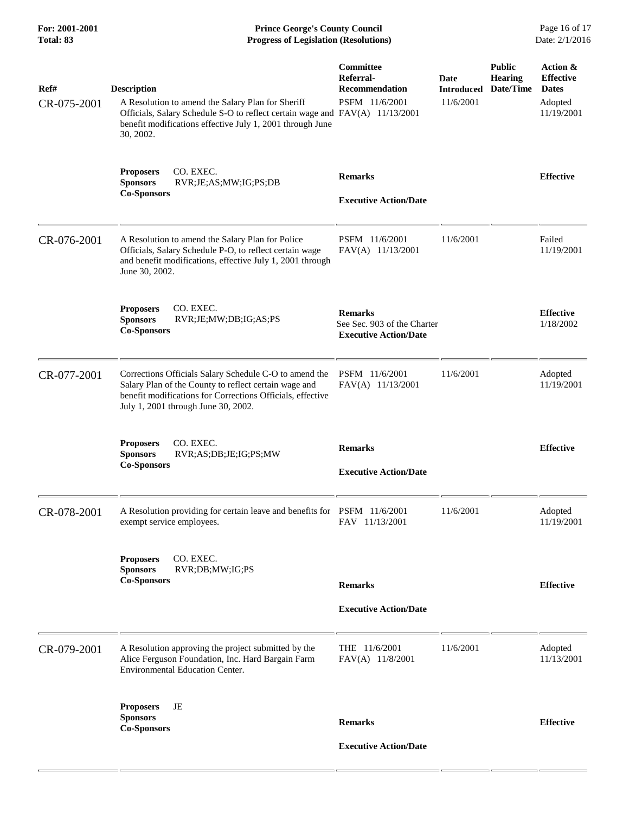**For: 2001-2001 Prince George's County Council** Page 16 of 17<br> **Prince George's County Council** Page 16 of 17<br> **Progress of Legislation (Resolutions)** Date: 2/1/2016 **Progress of Legislation (Resolutions) Progress of Legislation (Resolutions)** 

| Ref#        | <b>Description</b>                                                                                                                                                                                                   | Committee<br>Referral-<br><b>Recommendation</b>                               | <b>Date</b><br><b>Introduced</b> | <b>Public</b><br><b>Hearing</b><br>Date/Time | Action &<br><b>Effective</b><br><b>Dates</b> |
|-------------|----------------------------------------------------------------------------------------------------------------------------------------------------------------------------------------------------------------------|-------------------------------------------------------------------------------|----------------------------------|----------------------------------------------|----------------------------------------------|
| CR-075-2001 | A Resolution to amend the Salary Plan for Sheriff<br>Officials, Salary Schedule S-O to reflect certain wage and FAV(A) 11/13/2001<br>benefit modifications effective July 1, 2001 through June<br>30, 2002.          | PSFM 11/6/2001                                                                | 11/6/2001                        |                                              | Adopted<br>11/19/2001                        |
|             | CO. EXEC.<br><b>Proposers</b><br><b>Sponsors</b><br>RVR;JE;AS;MW;IG;PS;DB<br><b>Co-Sponsors</b>                                                                                                                      | <b>Remarks</b><br><b>Executive Action/Date</b>                                |                                  |                                              | <b>Effective</b>                             |
| CR-076-2001 | A Resolution to amend the Salary Plan for Police<br>Officials, Salary Schedule P-O, to reflect certain wage<br>and benefit modifications, effective July 1, 2001 through<br>June 30, 2002.                           | PSFM 11/6/2001<br>FAV(A) 11/13/2001                                           | 11/6/2001                        |                                              | Failed<br>11/19/2001                         |
|             | CO. EXEC.<br><b>Proposers</b><br><b>Sponsors</b><br>RVR;JE;MW;DB;IG;AS;PS<br><b>Co-Sponsors</b>                                                                                                                      | <b>Remarks</b><br>See Sec. 903 of the Charter<br><b>Executive Action/Date</b> |                                  |                                              | <b>Effective</b><br>1/18/2002                |
| CR-077-2001 | Corrections Officials Salary Schedule C-O to amend the<br>Salary Plan of the County to reflect certain wage and<br>benefit modifications for Corrections Officials, effective<br>July 1, 2001 through June 30, 2002. | PSFM 11/6/2001<br>FAV(A) 11/13/2001                                           | 11/6/2001                        |                                              | Adopted<br>11/19/2001                        |
|             | CO. EXEC.<br><b>Proposers</b><br><b>Sponsors</b><br>RVR;AS;DB;JE;IG;PS;MW<br><b>Co-Sponsors</b>                                                                                                                      | <b>Remarks</b><br><b>Executive Action/Date</b>                                |                                  |                                              | <b>Effective</b>                             |
| CR-078-2001 | A Resolution providing for certain leave and benefits for PSFM 11/6/2001<br>exempt service employees.                                                                                                                | FAV 11/13/2001                                                                | 11/6/2001                        |                                              | Adopted<br>11/19/2001                        |
|             | CO. EXEC.<br><b>Proposers</b><br>RVR;DB;MW;IG;PS<br><b>Sponsors</b><br><b>Co-Sponsors</b>                                                                                                                            | <b>Remarks</b>                                                                |                                  |                                              | <b>Effective</b>                             |
|             |                                                                                                                                                                                                                      | <b>Executive Action/Date</b>                                                  |                                  |                                              |                                              |
| CR-079-2001 | A Resolution approving the project submitted by the<br>Alice Ferguson Foundation, Inc. Hard Bargain Farm<br>Environmental Education Center.                                                                          | THE 11/6/2001<br>FAV(A) 11/8/2001                                             | 11/6/2001                        |                                              | Adopted<br>11/13/2001                        |
|             | JE<br><b>Proposers</b><br><b>Sponsors</b><br><b>Co-Sponsors</b>                                                                                                                                                      | <b>Remarks</b>                                                                |                                  |                                              | <b>Effective</b>                             |
|             |                                                                                                                                                                                                                      | <b>Executive Action/Date</b>                                                  |                                  |                                              |                                              |